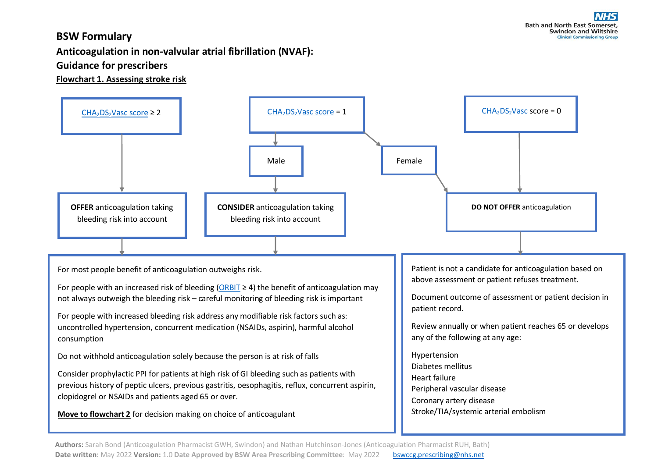## **BSW Formulary**

**Anticoagulation in non-valvular atrial fibrillation (NVAF):** 

## **Guidance for prescribers**

**Flowchart 1. Assessing stroke risk**



Authors: Sarah Bond (Anticoagulation Pharmacist GWH, Swindon) and Nathan Hutchinson-Jones (Anticoagulation Pharmacist RUH, Bath) Date written: May 2022 Version: 1.0 Date Approved by BSW Area Prescribing Committee: May 2022 [bswccg.prescribing@nhs.net](mailto:bswccg.prescribing@nhs.net)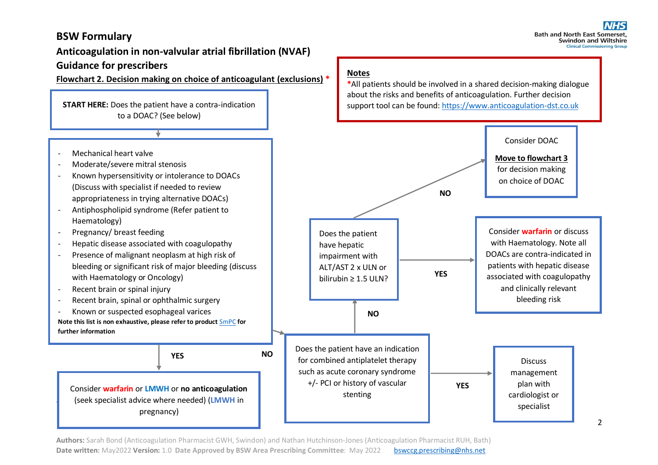## **BSW Formulary**

## **Anticoagulation in non-valvular atrial fibrillation (NVAF) Guidance for prescribers**

**Flowchart 2. Decision making on choice of anticoagulant (exclusions) \***

**START HERE:** Does the patient have a contra-indication to a DOAC? (See below)

- Mechanical heart valve
- Moderate/severe mitral stenosis
- Known hypersensitivity or intolerance to DOACs (Discuss with specialist if needed to review appropriateness in trying alternative DOACs)
- Antiphospholipid syndrome (Refer patient to Haematology)
- Pregnancy/ breast feeding
- Hepatic disease associated with coagulopathy
- Presence of malignant neoplasm at high risk of bleeding or significant risk of major bleeding (discuss with Haematology or Oncology)
- Recent brain or spinal injury

;

- Recent brain, spinal or ophthalmic surgery
- Known or suspected esophageal varices **Note this list is non exhaustive, please refer to product** [SmPC](https://www.medicines.org.uk/emc/) **for further information**

Consider **warfarin** or **LMWH** or **no anticoagulation** (seek specialist advice where needed) (**LMWH** in pregnancy)

**YES NO**

#### **Notes**

**\***All patients should be involved in a shared decision-making dialogue about the risks and benefits of anticoagulation. Further decision support tool can be found[: https://www.anticoagulation-dst.co.uk](https://www.anticoagulation-dst.co.uk/)



**Authors:** Sarah Bond (Anticoagulation Pharmacist GWH, Swindon) and Nathan Hutchinson-Jones (Anticoagulation Pharmacist RUH, Bath) **Date written:** May2022 **Version:** 1.0 **Date Approved by BSW Area Prescribing Committee**: May 2022 [bswccg.prescribing@nhs.net](mailto:bswccg.prescribing@nhs.net)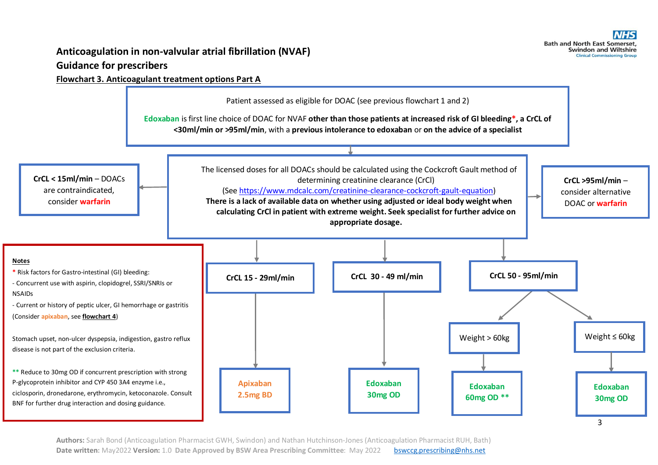# **Anticoagulation in non-valvular atrial fibrillation (NVAF)**

## **Guidance for prescribers**

### **Flowchart 3. Anticoagulant treatment options Part A**

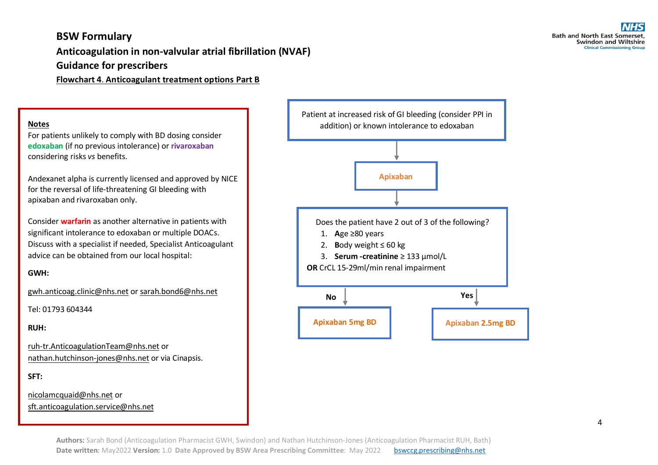## **BSW Formulary Anticoagulation in non-valvular atrial fibrillation (NVAF) Guidance for prescribers**

**Flowchart 4**. **Anticoagulant treatment options Part B**

#### **Notes**

For patients unlikely to comply with BD dosing consider **edoxaban** (if no previous intolerance) or **rivaroxaban** considering risks *vs* benefits.

Andexanet alpha is currently licensed and approved by NICE for the reversal of life-threatening GI bleeding with apixaban and rivaroxaban only.

Consider **warfarin** as another alternative in patients with significant intolerance to edoxaban or multiple DOACs. Discuss with a specialist if needed, Specialist Anticoagulant advice can be obtained from our local hospital:

#### **GWH:**

[gwh.anticoag.clinic@nhs.net](mailto:gwh.anticoag.clinic@nhs.net) or [sarah.bond6@nhs.net](mailto:sarah.bond6@nhs.net)

Tel: 01793 604344

**RUH:** 

[ruh-tr.AnticoagulationTeam@nhs.net](mailto:ruh-tr.AnticoagulationTeam@nhs.net) or [nathan.hutchinson-jones@nhs.net](mailto:nathan.hutchinson-jones@nhs.net) or via Cinapsis.

**SFT:**

[nicolamcquaid@nhs.net](mailto:nicolamcquaid@nhs.net) or sft.anticoagulation.service@nhs.net

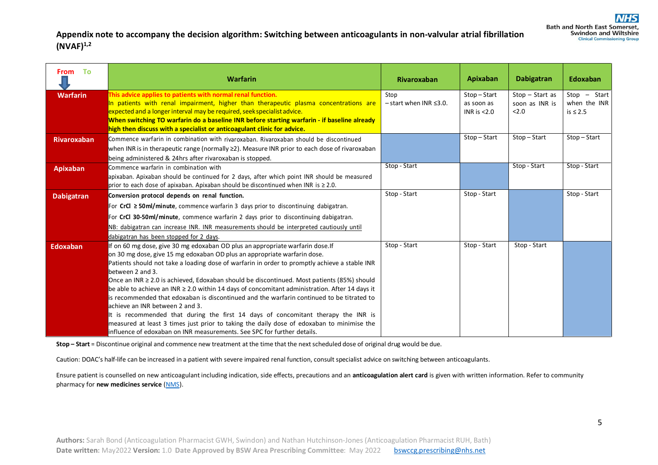### **Appendix note to accompany the decision algorithm: Switching between anticoagulants in non-valvular atrial fibrillation (NVAF) 1,2**

| From To            | <b>Warfarin</b>                                                                                                                                                                                                                                                                                                                                                                                                                                                                                                                                                                                                                                                                                                                                                                                                                                                                   | Rivaroxaban                            | Apixaban                                       | <b>Dabigatran</b>                          | Edoxaban                                        |
|--------------------|-----------------------------------------------------------------------------------------------------------------------------------------------------------------------------------------------------------------------------------------------------------------------------------------------------------------------------------------------------------------------------------------------------------------------------------------------------------------------------------------------------------------------------------------------------------------------------------------------------------------------------------------------------------------------------------------------------------------------------------------------------------------------------------------------------------------------------------------------------------------------------------|----------------------------------------|------------------------------------------------|--------------------------------------------|-------------------------------------------------|
| <b>Warfarin</b>    | This advice applies to patients with normal renal function.<br>In patients with renal impairment, higher than therapeutic plasma concentrations are<br>expected and a longer interval may be required, seek specialist advice.<br>When switching TO warfarin do a baseline INR before starting warfarin - if baseline already<br>high then discuss with a specialist or anticoagulant clinic for advice.                                                                                                                                                                                                                                                                                                                                                                                                                                                                          | Stop<br>$-$ start when INR $\leq$ 3.0. | $Stop - Start$<br>as soon as<br>INR is $<$ 2.0 | $Stop - Start as$<br>soon as INR is<br>2.0 | $Stop - Start$<br>when the INR<br>is $\leq 2.5$ |
| <b>Rivaroxaban</b> | Commence warfarin in combination with rivaroxaban. Rivaroxaban should be discontinued<br>when INR is in therapeutic range (normally $\geq$ ). Measure INR prior to each dose of rivaroxaban<br>being administered & 24hrs after rivaroxaban is stopped.                                                                                                                                                                                                                                                                                                                                                                                                                                                                                                                                                                                                                           |                                        | Stop-Start                                     | $Stop - Start$                             | $Stop - Start$                                  |
| <b>Apixaban</b>    | Commence warfarin in combination with<br>apixaban. Apixaban should be continued for 2 days, after which point INR should be measured<br>prior to each dose of apixaban. Apixaban should be discontinued when INR is $\geq 2.0$ .                                                                                                                                                                                                                                                                                                                                                                                                                                                                                                                                                                                                                                                  | Stop - Start                           |                                                | Stop - Start                               | Stop - Start                                    |
| <b>Dabigatran</b>  | Conversion protocol depends on renal function.<br>For CrCl $\geq$ 50ml/minute, commence warfarin 3 days prior to discontinuing dabigatran.<br>For CrCl 30-50ml/minute, commence warfarin 2 days prior to discontinuing dabigatran.<br>NB: dabigatran can increase INR. INR measurements should be interpreted cautiously until<br>dabigatran has been stopped for 2 days.                                                                                                                                                                                                                                                                                                                                                                                                                                                                                                         | Stop - Start                           | Stop - Start                                   |                                            | Stop - Start                                    |
| <b>Edoxaban</b>    | If on 60 mg dose, give 30 mg edoxaban OD plus an appropriate warfarin dose.If<br>on 30 mg dose, give 15 mg edoxaban OD plus an appropriate warfarin dose.<br>Patients should not take a loading dose of warfarin in order to promptly achieve a stable INR<br>between 2 and 3.<br>Once an INR ≥ 2.0 is achieved, Edoxaban should be discontinued. Most patients (85%) should<br>be able to achieve an INR $\geq$ 2.0 within 14 days of concomitant administration. After 14 days it<br>lis recommended that edoxaban is discontinued and the warfarin continued to be titrated to<br>achieve an INR between 2 and 3.<br>It is recommended that during the first 14 days of concomitant therapy the INR is<br>measured at least 3 times just prior to taking the daily dose of edoxaban to minimise the<br>influence of edoxaban on INR measurements. See SPC for further details. | Stop - Start                           | Stop - Start                                   | Stop - Start                               |                                                 |

**Stop – Start** = Discontinue original and commence new treatment at the time that the nextscheduled dose of original drug would be due.

Caution: DOAC's half-life can be increased in a patient with severe impaired renal function, consult specialist advice on switching between anticoagulants.

Ensure patient is counselled on new anticoagulant including indication, side effects, precautions and an **anticoagulation alert card** is given with written information. Refer to community pharmacy for **new medicines service** [\(NMS\)](https://psnc.org.uk/services-commissioning/advanced-services/nms/).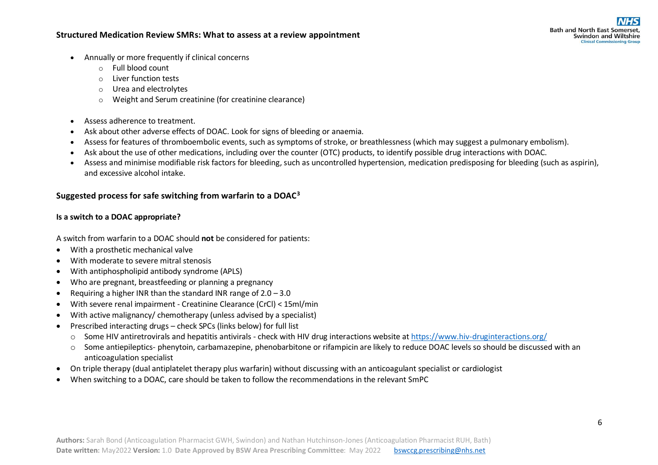#### **Structured Medication Review SMRs: What to assess at a review appointment**

- Annually or more frequently if clinical concerns
	- o Full blood count
	- o Liver function tests
	- o Urea and electrolytes
	- o Weight and Serum creatinine (for creatinine clearance)
- Assess adherence to treatment.
- Ask about other [adverse effects](https://cks.nice.org.uk/topics/anticoagulation-oral/management/rivaroxaban/#adverse-effects) of DOAC. Look for signs of bleeding or anaemia.
- Assess for features of thromboembolic events, such as symptoms of stroke, or breathlessness (which may suggest a pulmonary embolism).
- Ask about the use of other medications, including over the counter (OTC) products, to identify possible drug interactions with DOAC.
- Assess and minimise modifiable risk factors for bleeding, such as uncontrolled hypertension, medication predisposing for bleeding (such as aspirin), and excessive alcohol intake.

### **Suggested process for safe switching from warfarin to a DOAC<sup>3</sup>**

#### **Is a switch to a DOAC appropriate?**

A switch from warfarin to a DOAC should **not** be considered for patients:

- With a prosthetic mechanical valve
- With moderate to severe mitral stenosis
- With antiphospholipid antibody syndrome (APLS)
- Who are pregnant, breastfeeding or planning a pregnancy
- Requiring a higher INR than the standard INR range of  $2.0 3.0$
- With severe renal impairment Creatinine Clearance (CrCl) < 15ml/min
- With active malignancy/ chemotherapy (unless advised by a specialist)
- Prescribed interacting drugs check SPCs (links below) for full list
	- $\circ$  Some HIV antiretrovirals and hepatitis antivirals check with HIV drug interactions website at <https://www.hiv-druginteractions.org/>
	- o Some antiepileptics- phenytoin, carbamazepine, phenobarbitone or rifampicin are likely to reduce DOAC levels so should be discussed with an anticoagulation specialist
- On triple therapy (dual antiplatelet therapy plus warfarin) without discussing with an anticoagulant specialist or cardiologist
- When switching to a DOAC, care should be taken to follow the recommendations in the relevant SmPC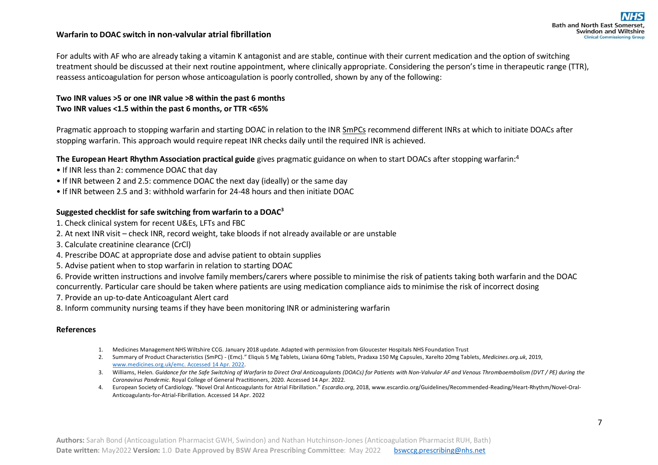#### **Warfarin to DOAC switch in non-valvular atrial fibrillation**

**Bath and North East Somerset. Swindon and Wiltshire Clinical Commissioning Group** 

For adults with AF who are already taking a vitamin K antagonist and are stable, continue with their current medication and the option of switching treatment should be discussed at their next routine appointment, where clinically appropriate. Considering the person's time in therapeutic range (TTR), reassess anticoagulation for person whose anticoagulation is poorly controlled, shown by any of the following:

#### **Two INR values >5 or one INR value >8 within the past 6 months Two INR values <1.5 within the past 6 months, or TTR <65%**

Pragmatic approach to stopping warfarin and starting DOAC in relation to the INR [SmPCs](https://www.medicines.org.uk/emc/) recommend different INRs at which to initiate DOACs after stopping warfarin. This approach would require repeat INR checks daily until the required INR is achieved.

#### **The European Heart Rhythm Association practical guide** gives pragmatic guidance on when to start DOACs after stopping warfarin:<sup>4</sup>

- If INR less than 2: commence DOAC that day
- If INR between 2 and 2.5: commence DOAC the next day (ideally) or the same day
- If INR between 2.5 and 3: withhold warfarin for 24-48 hours and then initiate DOAC

#### **Suggested checklist for safe switching from warfarin to a DOAC<sup>3</sup>**

- 1. Check clinical system for recent U&Es, LFTs and FBC
- 2. At next INR visit check INR, record weight, take bloods if not already available or are unstable
- 3. Calculate creatinine clearance (CrCl)
- 4. Prescribe DOAC at appropriate dose and advise patient to obtain supplies
- 5. Advise patient when to stop warfarin in relation to starting DOAC

6. Provide written instructions and involve family members/carers where possible to minimise the risk of patients taking both warfarin and the DOAC concurrently. Particular care should be taken where patients are using medication compliance aids to minimise the risk of incorrect dosing

- 7. Provide an up-to-date Anticoagulant Alert card
- 8. Inform community nursing teams if they have been monitoring INR or administering warfarin

#### **References**

- 1. Medicines Management NHS Wiltshire CCG. January 2018 update. Adapted with permission from Gloucester Hospitals NHS Foundation Trust
- 2. Summary of Product Characteristics (SmPC) (Emc)." Eliquis 5 Mg Tablets, Lixiana 60mg Tablets, Pradaxa 150 Mg Capsules, Xarelto 20mg Tablets, *Medicines.org.uk*, 2019, [www.medicines.org.uk/emc. Accessed 14 Apr. 2022.](http://www.medicines.org.uk/emc.%20Accessed%2014%20Apr.%202022)
- 3. Williams, Helen. *Guidance for the Safe Switching of Warfarin to Direct Oral Anticoagulants (DOACs) for Patients with Non-Valvular AF and Venous Thromboembolism (DVT / PE) during the Coronavirus Pandemic*. Royal College of General Practitioners, 2020. Accessed 14 Apr. 2022.
- 4. European Society of Cardiology. "Novel Oral Anticoagulants for Atrial Fibrillation." *Escardio.org*, 2018[, www.escardio.org/Guidelines/Recommended-Reading/Heart-Rhythm/Novel-Oral-](../../../../julie.murphy6/AppData/Local/Microsoft/Windows/INetCache/Content.Outlook/21E738U8/www.escardio.org/Guidelines/Recommended-Reading/Heart-Rhythm/Novel-Oral-Anticoagulants-for-Atrial-Fibrillation)[Anticoagulants-for-Atrial-Fibrillation.](../../../../julie.murphy6/AppData/Local/Microsoft/Windows/INetCache/Content.Outlook/21E738U8/www.escardio.org/Guidelines/Recommended-Reading/Heart-Rhythm/Novel-Oral-Anticoagulants-for-Atrial-Fibrillation) Accessed 14 Apr. 2022